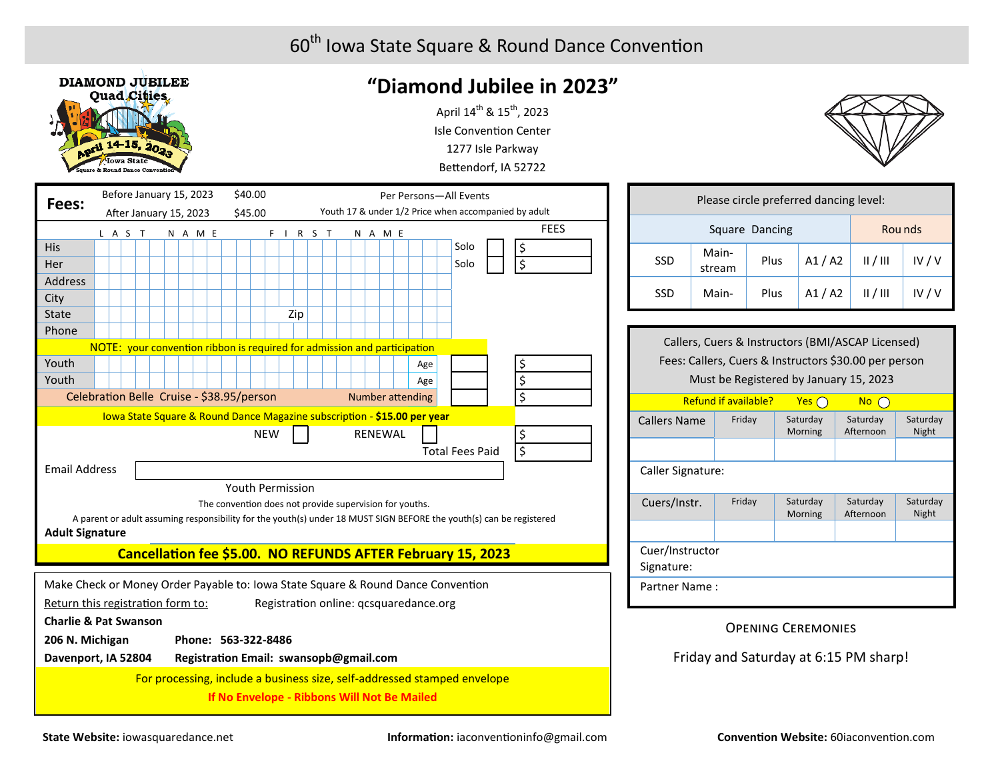

# **"Diamond Jubilee in 2023"**

April  $14^{th}$  &  $15^{th}$ , 2023 Isle Convention Center 1277 Isle Parkway Bettendorf, IA 52722



| Fees:                                                                            |                        |  |         |  | Before January 15, 2023 |  |  |         |  |                     | \$40.00<br>Per Persons-All Events                               |            |                                        |  |  |  |  |                |  |                                                                          |                                                                          |                                                                                                                     |
|----------------------------------------------------------------------------------|------------------------|--|---------|--|-------------------------|--|--|---------|--|---------------------|-----------------------------------------------------------------|------------|----------------------------------------|--|--|--|--|----------------|--|--------------------------------------------------------------------------|--------------------------------------------------------------------------|---------------------------------------------------------------------------------------------------------------------|
|                                                                                  | After January 15, 2023 |  |         |  |                         |  |  |         |  |                     | Youth 17 & under 1/2 Price when accompanied by adult<br>\$45.00 |            |                                        |  |  |  |  |                |  |                                                                          |                                                                          |                                                                                                                     |
|                                                                                  |                        |  | L A S T |  |                         |  |  | N A M E |  |                     |                                                                 |            | F I R S T                              |  |  |  |  | N A M E        |  |                                                                          |                                                                          | <b>FEES</b>                                                                                                         |
| <b>His</b>                                                                       |                        |  |         |  |                         |  |  |         |  |                     |                                                                 |            |                                        |  |  |  |  |                |  |                                                                          | Solo                                                                     | \$                                                                                                                  |
| Her                                                                              |                        |  |         |  |                         |  |  |         |  |                     |                                                                 |            |                                        |  |  |  |  |                |  |                                                                          | Solo                                                                     | \$                                                                                                                  |
| <b>Address</b>                                                                   |                        |  |         |  |                         |  |  |         |  |                     |                                                                 |            |                                        |  |  |  |  |                |  |                                                                          |                                                                          |                                                                                                                     |
| City                                                                             |                        |  |         |  |                         |  |  |         |  |                     |                                                                 |            |                                        |  |  |  |  |                |  |                                                                          |                                                                          |                                                                                                                     |
| <b>State</b>                                                                     |                        |  |         |  |                         |  |  |         |  |                     |                                                                 |            | Zip                                    |  |  |  |  |                |  |                                                                          |                                                                          |                                                                                                                     |
| Phone                                                                            |                        |  |         |  |                         |  |  |         |  |                     |                                                                 |            |                                        |  |  |  |  |                |  |                                                                          |                                                                          |                                                                                                                     |
|                                                                                  |                        |  |         |  |                         |  |  |         |  |                     |                                                                 |            |                                        |  |  |  |  |                |  | NOTE: your convention ribbon is required for admission and participation |                                                                          |                                                                                                                     |
| Youth                                                                            |                        |  |         |  |                         |  |  |         |  |                     |                                                                 |            |                                        |  |  |  |  |                |  | Age                                                                      |                                                                          | \$                                                                                                                  |
| Youth                                                                            |                        |  |         |  |                         |  |  |         |  |                     |                                                                 |            |                                        |  |  |  |  |                |  | Age                                                                      |                                                                          | $\overline{\boldsymbol{\zeta}}$                                                                                     |
| Celebration Belle Cruise - \$38.95/person                                        |                        |  |         |  |                         |  |  |         |  |                     |                                                                 |            |                                        |  |  |  |  |                |  | <b>Number attending</b>                                                  |                                                                          | $\overline{\boldsymbol{\zeta}}$                                                                                     |
|                                                                                  |                        |  |         |  |                         |  |  |         |  |                     |                                                                 |            |                                        |  |  |  |  |                |  | Iowa State Square & Round Dance Magazine subscription - \$15.00 per year |                                                                          |                                                                                                                     |
|                                                                                  |                        |  |         |  |                         |  |  |         |  |                     |                                                                 | <b>NEW</b> |                                        |  |  |  |  | <b>RENEWAL</b> |  |                                                                          |                                                                          | \$                                                                                                                  |
|                                                                                  |                        |  |         |  |                         |  |  |         |  |                     |                                                                 |            |                                        |  |  |  |  |                |  |                                                                          | <b>Total Fees Paid</b>                                                   | $\overline{\boldsymbol{\zeta}}$                                                                                     |
| <b>Email Address</b>                                                             |                        |  |         |  |                         |  |  |         |  |                     |                                                                 |            |                                        |  |  |  |  |                |  |                                                                          |                                                                          |                                                                                                                     |
|                                                                                  |                        |  |         |  |                         |  |  |         |  |                     |                                                                 |            | Youth Permission                       |  |  |  |  |                |  |                                                                          |                                                                          |                                                                                                                     |
|                                                                                  |                        |  |         |  |                         |  |  |         |  |                     |                                                                 |            |                                        |  |  |  |  |                |  | The convention does not provide supervision for youths.                  |                                                                          |                                                                                                                     |
| <b>Adult Signature</b>                                                           |                        |  |         |  |                         |  |  |         |  |                     |                                                                 |            |                                        |  |  |  |  |                |  |                                                                          |                                                                          | A parent or adult assuming responsibility for the youth(s) under 18 MUST SIGN BEFORE the youth(s) can be registered |
|                                                                                  |                        |  |         |  |                         |  |  |         |  |                     |                                                                 |            |                                        |  |  |  |  |                |  |                                                                          | Cancellation fee \$5.00. NO REFUNDS AFTER February 15, 2023              |                                                                                                                     |
|                                                                                  |                        |  |         |  |                         |  |  |         |  |                     |                                                                 |            |                                        |  |  |  |  |                |  |                                                                          |                                                                          |                                                                                                                     |
| Make Check or Money Order Payable to: Iowa State Square & Round Dance Convention |                        |  |         |  |                         |  |  |         |  |                     |                                                                 |            |                                        |  |  |  |  |                |  |                                                                          |                                                                          |                                                                                                                     |
| Return this registration form to:                                                |                        |  |         |  |                         |  |  |         |  |                     |                                                                 |            |                                        |  |  |  |  |                |  | Registration online: qcsquaredance.org                                   |                                                                          |                                                                                                                     |
| <b>Charlie &amp; Pat Swanson</b>                                                 |                        |  |         |  |                         |  |  |         |  |                     |                                                                 |            |                                        |  |  |  |  |                |  |                                                                          |                                                                          |                                                                                                                     |
| 206 N. Michigan                                                                  |                        |  |         |  |                         |  |  |         |  | Phone: 563-322-8486 |                                                                 |            |                                        |  |  |  |  |                |  |                                                                          |                                                                          |                                                                                                                     |
| Davenport, IA 52804                                                              |                        |  |         |  |                         |  |  |         |  |                     |                                                                 |            | Registration Email: swansopb@gmail.com |  |  |  |  |                |  |                                                                          |                                                                          |                                                                                                                     |
|                                                                                  |                        |  |         |  |                         |  |  |         |  |                     |                                                                 |            |                                        |  |  |  |  |                |  |                                                                          | For processing, include a business size, self-addressed stamped envelope |                                                                                                                     |
|                                                                                  |                        |  |         |  |                         |  |  |         |  |                     |                                                                 |            |                                        |  |  |  |  |                |  | If No Envelope - Ribbons Will Not Be Mailed                              |                                                                          |                                                                                                                     |

| Please circle preferred dancing level: |                 |         |       |   |          |  |  |  |  |  |  |
|----------------------------------------|-----------------|---------|-------|---|----------|--|--|--|--|--|--|
|                                        | Square Dancing  | Rou nds |       |   |          |  |  |  |  |  |  |
| <b>SSD</b>                             | Main-<br>stream | Plus    | A1/A2 | / | IV $/$ V |  |  |  |  |  |  |
| <b>SSD</b>                             | Main-           | Plus    | A1/A2 | / | IV $/ v$ |  |  |  |  |  |  |
|                                        |                 |         |       |   |          |  |  |  |  |  |  |

| Callers, Cuers & Instructors (BMI/ASCAP Licensed)     |        |                     |                       |                          |  |  |  |  |  |  |  |  |
|-------------------------------------------------------|--------|---------------------|-----------------------|--------------------------|--|--|--|--|--|--|--|--|
| Fees: Callers, Cuers & Instructors \$30.00 per person |        |                     |                       |                          |  |  |  |  |  |  |  |  |
| Must be Registered by January 15, 2023                |        |                     |                       |                          |  |  |  |  |  |  |  |  |
| <b>Refund if available?</b><br>Yes (<br><u>No</u>     |        |                     |                       |                          |  |  |  |  |  |  |  |  |
| <b>Callers Name</b>                                   | Friday | Saturday<br>Morning | Saturday<br>Afternoon | Saturday<br><b>Night</b> |  |  |  |  |  |  |  |  |
|                                                       |        |                     |                       |                          |  |  |  |  |  |  |  |  |
| Caller Signature:                                     |        |                     |                       |                          |  |  |  |  |  |  |  |  |
| Cuers/Instr.                                          | Friday | Saturday<br>Morning | Saturday<br>Afternoon | Saturday<br>Night        |  |  |  |  |  |  |  |  |
|                                                       |        |                     |                       |                          |  |  |  |  |  |  |  |  |
| Cuer/Instructor<br>Signature:                         |        |                     |                       |                          |  |  |  |  |  |  |  |  |
| Partner Name:                                         |        |                     |                       |                          |  |  |  |  |  |  |  |  |

#### Opening Ceremonies

Friday and Saturday at 6:15 PM sharp!